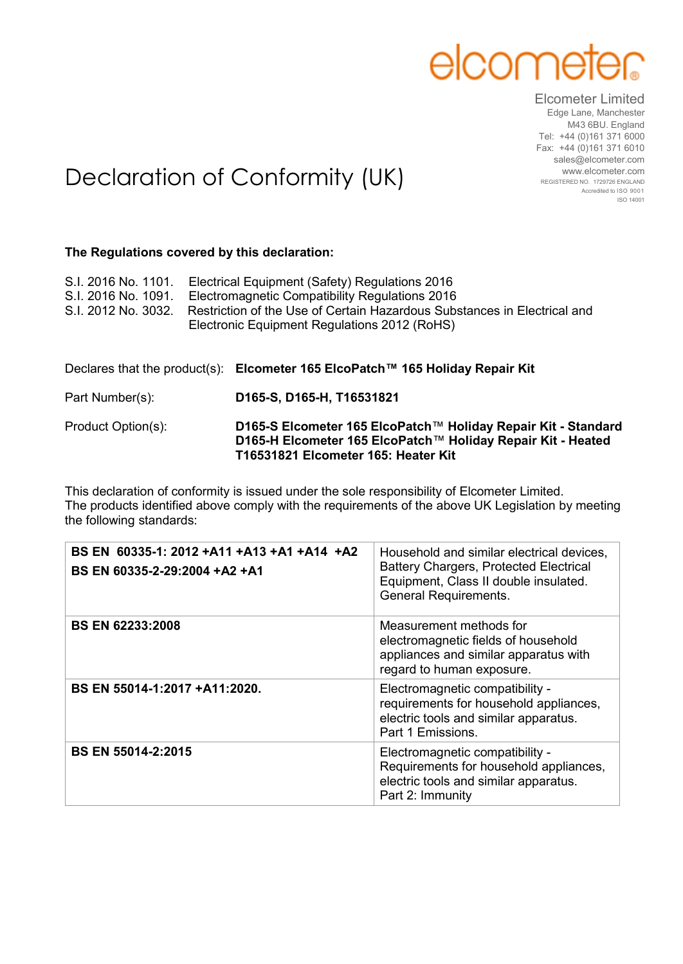## elcome

Elcometer Limited Edge Lane, Manchester M43 6BU. England Tel: +44 (0)161 371 6000 Fax: +44 (0)161 371 6010 sales@elcometer.com www.elcometer.com REGISTERED NO. 1729726 ENGLAND Accredited to ISO 9001 ISO 14001

## Declaration of Conformity (UK)

## **The Regulations covered by this declaration:**

| S.I. 2016 No. 1101.<br>S.I. 2016 No. 1091.<br>S.I. 2012 No. 3032. | Electrical Equipment (Safety) Regulations 2016<br>Electromagnetic Compatibility Regulations 2016<br>Restriction of the Use of Certain Hazardous Substances in Electrical and<br>Electronic Equipment Regulations 2012 (RoHS) |  |
|-------------------------------------------------------------------|------------------------------------------------------------------------------------------------------------------------------------------------------------------------------------------------------------------------------|--|
|                                                                   | Declares that the product(s): Elcometer 165 ElcoPatch™ 165 Holiday Repair Kit                                                                                                                                                |  |
| Part Number(s):                                                   | D165-S, D165-H, T16531821                                                                                                                                                                                                    |  |
| Product Option(s):                                                | D165-S Elcometer 165 ElcoPatch™ Holiday Repair Kit - Standard<br>D165-H Elcometer 165 ElcoPatch™ Holiday Repair Kit - Heated                                                                                                 |  |

**T16531821 Elcometer 165: Heater Kit** This declaration of conformity is issued under the sole responsibility of Elcometer Limited.

The products identified above comply with the requirements of the above UK Legislation by meeting the following standards:

| BS EN 60335-1: 2012 +A11 +A13 +A1 +A14 +A2<br>BS EN 60335-2-29:2004 +A2 +A1 | Household and similar electrical devices,<br><b>Battery Chargers, Protected Electrical</b><br>Equipment, Class II double insulated.<br><b>General Requirements.</b> |
|-----------------------------------------------------------------------------|---------------------------------------------------------------------------------------------------------------------------------------------------------------------|
| <b>BS EN 62233:2008</b>                                                     | Measurement methods for<br>electromagnetic fields of household<br>appliances and similar apparatus with<br>regard to human exposure.                                |
| BS EN 55014-1:2017 +A11:2020.                                               | Electromagnetic compatibility -<br>requirements for household appliances,<br>electric tools and similar apparatus.<br>Part 1 Emissions.                             |
| <b>BS EN 55014-2:2015</b>                                                   | Electromagnetic compatibility -<br>Requirements for household appliances,<br>electric tools and similar apparatus.<br>Part 2: Immunity                              |